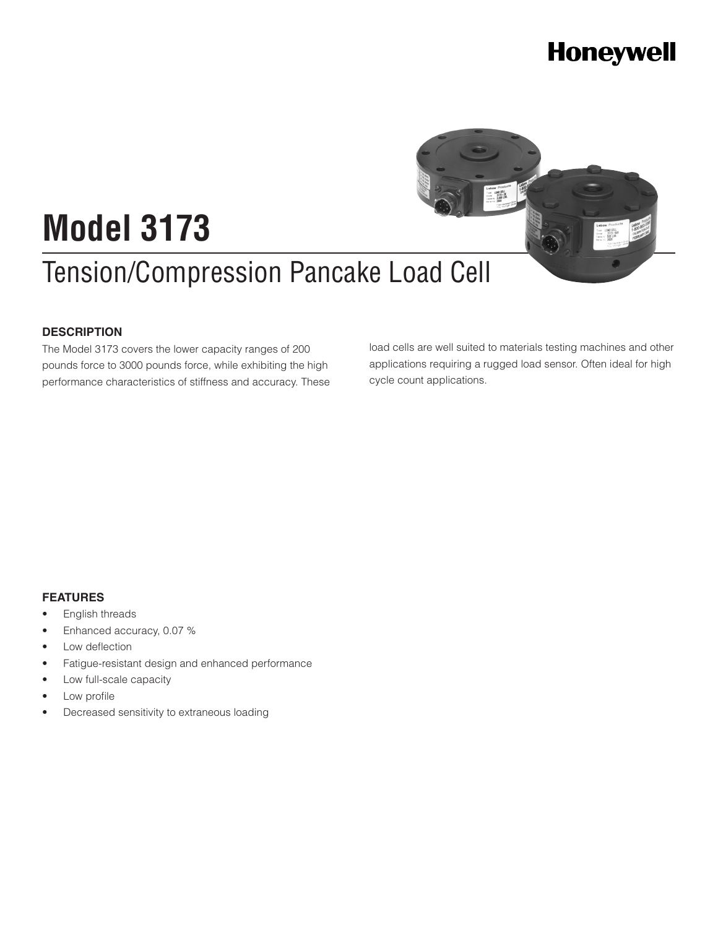

#### **DESCRIPTION**

The Model 3173 covers the lower capacity ranges of 200 pounds force to 3000 pounds force, while exhibiting the high performance characteristics of stiffness and accuracy. These load cells are well suited to materials testing machines and other applications requiring a rugged load sensor. Often ideal for high cycle count applications.

#### **FEATURES**

- English threads
- Enhanced accuracy, 0.07 %
- Low deflection
- Fatigue-resistant design and enhanced performance
- Low full-scale capacity
- Low profile
- • Decreased sensitivity to extraneous loading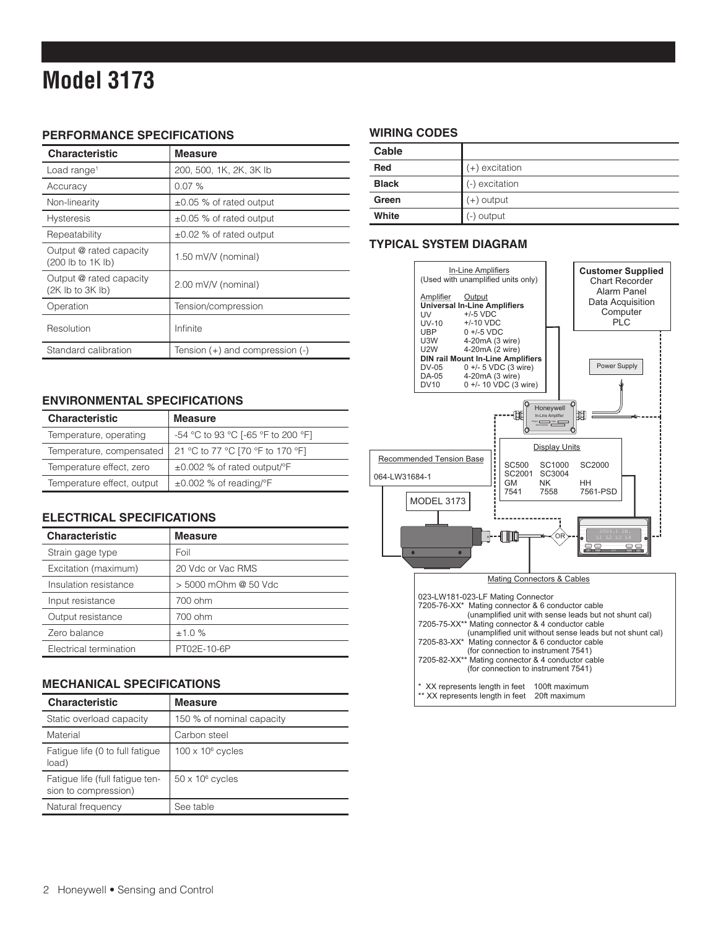# **Model 3173**

#### **PERFORMANCE SPECIFICATIONS**

| <b>Characteristic</b>                        | <b>Measure</b>                      |
|----------------------------------------------|-------------------------------------|
| Load range <sup>1</sup>                      | 200, 500, 1K, 2K, 3K lb             |
| Accuracy                                     | 0.07%                               |
| Non-linearity                                | $\pm 0.05$ % of rated output        |
| <b>Hysteresis</b>                            | $\pm 0.05$ % of rated output        |
| Repeatability                                | $\pm 0.02$ % of rated output        |
| Output @ rated capacity<br>(200 lb to 1K lb) | 1.50 mV/V (nominal)                 |
| Output @ rated capacity<br>(2K lb to 3K lb)  | 2.00 mV/V (nominal)                 |
| Operation                                    | Tension/compression                 |
| Resolution                                   | Infinite                            |
| Standard calibration                         | Tension $(+)$ and compression $(-)$ |

#### **ENVIRONMENTAL SPECIFICATIONS**

| <b>Characteristic</b>      | <b>Measure</b>                                |
|----------------------------|-----------------------------------------------|
| Temperature, operating     | -54 °C to 93 °C [-65 °F to 200 °F]            |
| Temperature, compensated   | 21 °C to 77 °C [70 °F to 170 °F]              |
| Temperature effect, zero   | $\pm 0.002$ % of rated output/ $\mathrm{P}$ F |
| Temperature effect, output | $\pm 0.002$ % of reading/°F                   |

#### **ELECTRICAL SPECIFICATIONS**

| <b>Characteristic</b>  | <b>Measure</b>       |
|------------------------|----------------------|
| Strain gage type       | Foil                 |
| Excitation (maximum)   | 20 Vdc or Vac RMS    |
| Insulation resistance  | > 5000 mOhm @ 50 Vdc |
| Input resistance       | 700 ohm              |
| Output resistance      | 700 ohm              |
| Zero balance           | ±1.0%                |
| Electrical termination | PT02E-10-6P          |

#### **MECHANICAL SPECIFICATIONS**

| <b>Characteristic</b>                                   | <b>Measure</b>            |
|---------------------------------------------------------|---------------------------|
| Static overload capacity                                | 150 % of nominal capacity |
| Material                                                | Carbon steel              |
| Fatigue life (0 to full fatigue<br>load)                | $100 \times 10^6$ cycles  |
| Fatigue life (full fatigue ten-<br>sion to compression) | $50 \times 10^6$ cycles   |
| Natural frequency                                       | See table                 |

#### **WIRING CODES**

| Cable        |                  |
|--------------|------------------|
| Red          | $(+)$ excitation |
| <b>Black</b> | (-) excitation   |
| Green        | (+) output       |
| White        | (-) output       |

#### **TYPICAL SYSTEM DIAGRAM**

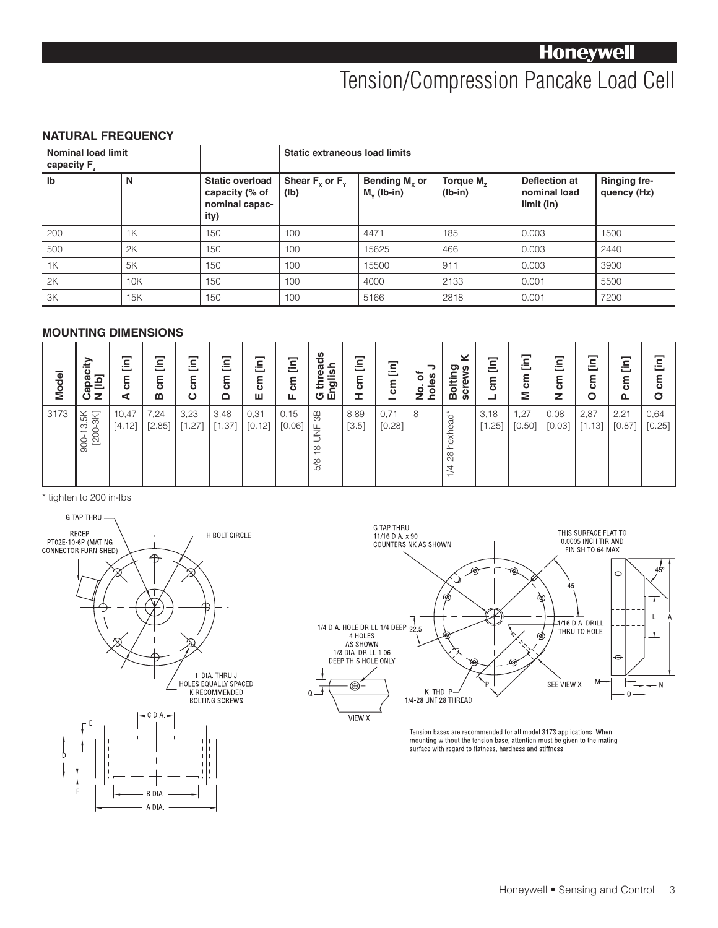# Tension/Compression Pancake Load Cell

#### **NATURAL FREQUENCY**

| <b>Nominal load limit</b><br>capacity F <sub>z</sub> |     |                                                                    | Static extraneous load limits |                                       |                             |                                             |                                    |
|------------------------------------------------------|-----|--------------------------------------------------------------------|-------------------------------|---------------------------------------|-----------------------------|---------------------------------------------|------------------------------------|
| lb                                                   | N   | <b>Static overload</b><br>capacity (% of<br>nominal capac-<br>ity) | Shear $F_v$ or $F_v$<br>(Ib)  | Bending $M_{x}$ or<br>$M_{v}$ (lb-in) | Torque $M_{7}$<br>$(lb-in)$ | Deflection at<br>nominal load<br>limit (in) | <b>Ringing fre-</b><br>quency (Hz) |
| 200                                                  | 1K  | 150                                                                | 100                           | 4471                                  | 185                         | 0.003                                       | 1500                               |
| 500                                                  | 2K  | 150                                                                | 100                           | 15625                                 | 466                         | 0.003                                       | 2440                               |
| 1K                                                   | 5K  | 150                                                                | 100                           | 15500                                 | 911                         | 0.003                                       | 3900                               |
| 2K                                                   | 10K | 150                                                                | 100                           | 4000                                  | 2133                        | 0.001                                       | 5500                               |
| ЗK                                                   | 15K | 150                                                                | 100                           | 5166                                  | 2818                        | 0.001                                       | 7200                               |

#### **MOUNTING DIMENSIONS**

| <b>Model</b> | Capacity<br>N [lb]    | $\Xi$<br>ξ<br>⋖ | Ξ<br><b>E</b><br>m | Ξ<br>ទ<br>ស<br>$\mathbf C$ | Ξ<br><b>E</b><br>$\Omega$ | Ξ<br><b>E</b><br>ш | $\Xi$<br><b>E</b><br>ட | reads<br>G thread<br>English     | $\Xi$<br>ξ<br>Ŧ. | $\boxed{\text{in}}$<br><b>E</b><br>- | っ<br>đ<br>holes<br>g | $\geq$<br>Bolting<br>screws | $\Xi$<br><b>E</b><br>┙ | $\Xi$<br>ξ<br>Σ | [in]<br>g<br>z | Ξ<br>g<br>$\circ$ | $\Xi$<br>5s<br>௳ | $\Xi$<br>ξ<br>σ |
|--------------|-----------------------|-----------------|--------------------|----------------------------|---------------------------|--------------------|------------------------|----------------------------------|------------------|--------------------------------------|----------------------|-----------------------------|------------------------|-----------------|----------------|-------------------|------------------|-----------------|
| 3173         | 900-13.5K<br>[200-3K] | 10,47<br>[4.12] | 7,24<br>[2.85]     | 3,23<br>[1.27]             | 3,48<br>[1.37]            | 0,31<br>[0.12]     | 0, 15<br>[0.06]        | 86.<br>ή<br>Τ<br>$\infty$<br>5/8 | 8.89<br>$[3.5]$  | 0,71<br>[0.28]                       | 8                    | 1/4-28 hexhead*             | 3,18<br>[1.25]         | 1,27<br>[0.50]  | 0,08<br>[0.03] | 2,87<br>[1.13]    | 2,21<br>[0.87]   | 0,64<br>[0.25]  |

\* tighten to 200 in-lbs





Tension bases are recommended for all model 3173 applications. When<br>mounting without the tension base, attention must be given to the mating surface with regard to flatness, hardness and stiffness.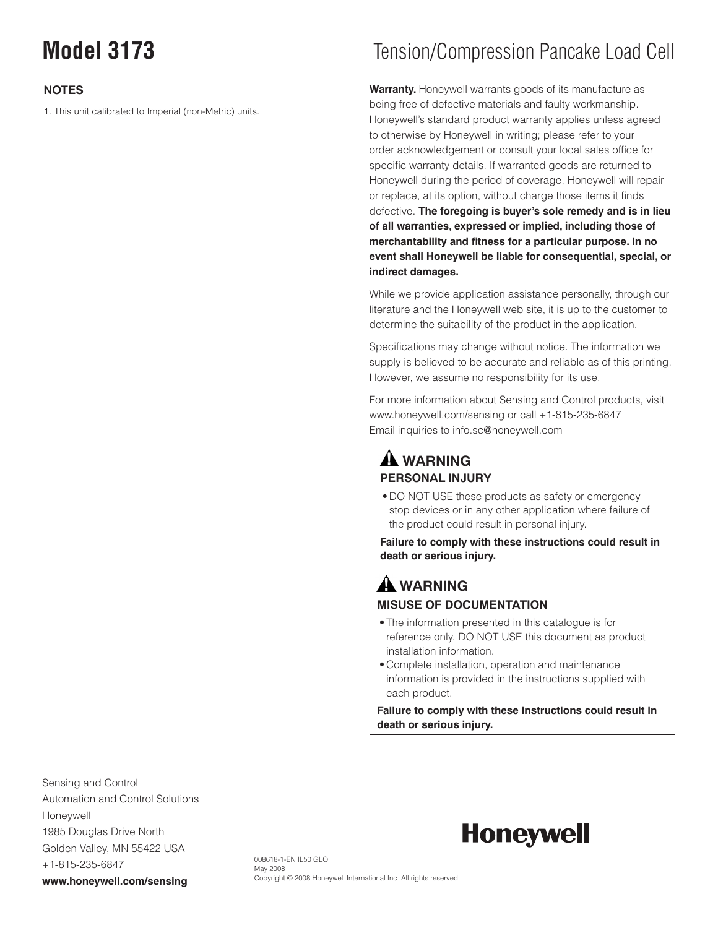#### **NOTES**

1. This unit calibrated to Imperial (non-Metric) units.

# **Model 3173** Tension/Compression Pancake Load Cell

**Warranty.** Honeywell warrants goods of its manufacture as being free of defective materials and faulty workmanship. Honeywell's standard product warranty applies unless agreed to otherwise by Honeywell in writing; please refer to your order acknowledgement or consult your local sales office for specific warranty details. If warranted goods are returned to Honeywell during the period of coverage, Honeywell will repair or replace, at its option, without charge those items it finds defective. **The foregoing is buyer's sole remedy and is in lieu of all warranties, expressed or implied, including those of merchantability and fitness for a particular purpose. In no event shall Honeywell be liable for consequential, special, or indirect damages.**

While we provide application assistance personally, through our literature and the Honeywell web site, it is up to the customer to determine the suitability of the product in the application.

Specifications may change without notice. The information we supply is believed to be accurate and reliable as of this printing. However, we assume no responsibility for its use.

For more information about Sensing and Control products, visit www.honeywell.com/sensing or call +1-815-235-6847 Email inquiries to info.sc@honeywell.com

#### **WARNING PERSONAL INJURY**

• DO NOT USE these products as safety or emergency stop devices or in any other application where failure of the product could result in personal injury.

**Failure to comply with these instructions could result in death or serious injury.**

### **WARNING MISUSE OF DOCUMENTATION**

- The information presented in this catalogue is for reference only. DO NOT USE this document as product installation information.
- • Complete installation, operation and maintenance information is provided in the instructions supplied with each product.

**Failure to comply with these instructions could result in death or serious injury.**

Sensing and Control Automation and Control Solutions Honeywell 1985 Douglas Drive North Golden Valley, MN 55422 USA +1-815-235-6847 **www.honeywell.com/sensing**

# **Honeywell**

008618-1-EN IL50 GLO May 2008 Copyright © 2008 Honeywell International Inc. All rights reserved.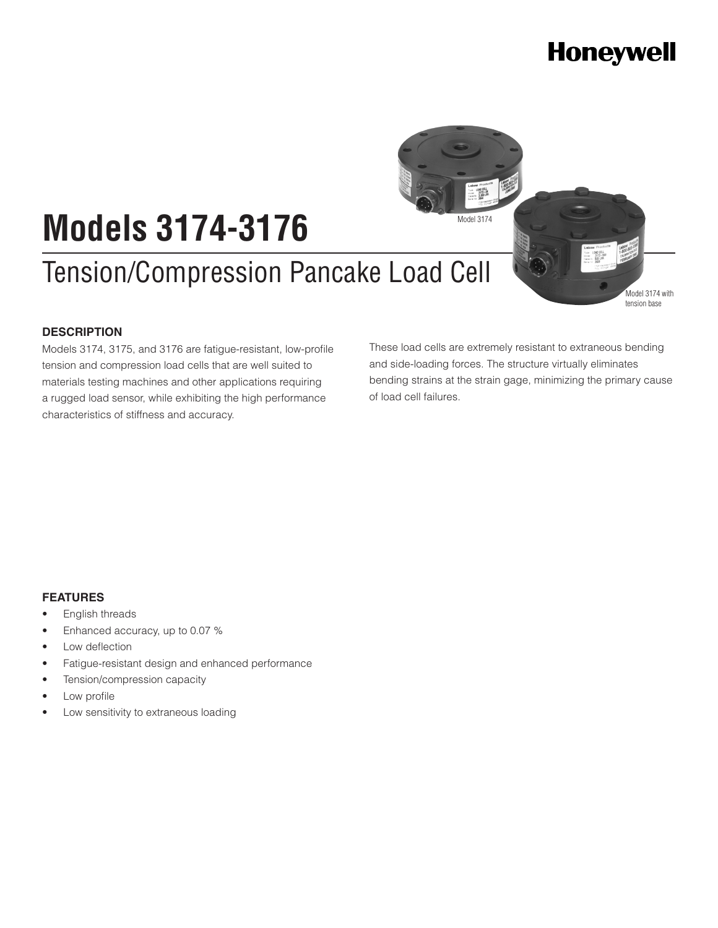

# **Models 3174-3176**

# Tension/Compression Pancake Load Cell

#### **DESCRIPTION**

Models 3174, 3175, and 3176 are fatigue-resistant, low-profile tension and compression load cells that are well suited to materials testing machines and other applications requiring a rugged load sensor, while exhibiting the high performance characteristics of stiffness and accuracy.

These load cells are extremely resistant to extraneous bending and side-loading forces. The structure virtually eliminates bending strains at the strain gage, minimizing the primary cause of load cell failures.

#### **FEATURES**

- English threads
- Enhanced accuracy, up to 0.07 %
- Low deflection
- Fatigue-resistant design and enhanced performance
- Tension/compression capacity
- Low profile
- • Low sensitivity to extraneous loading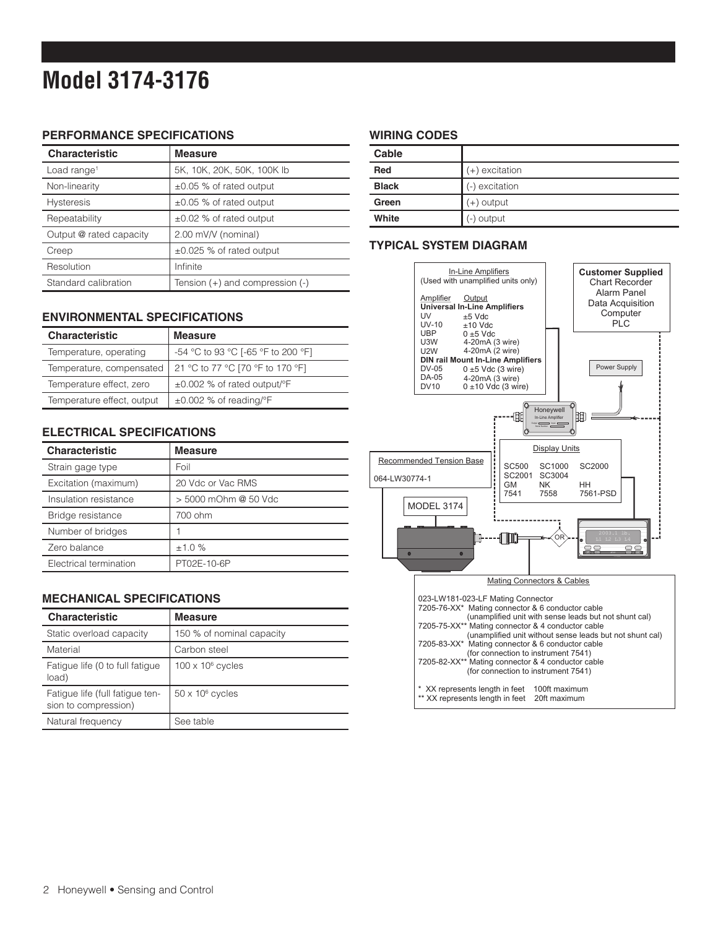# **Model 3174-3176**

#### **PERFORMANCE SPECIFICATIONS**

| <b>Characteristic</b>   | <b>Measure</b>                  |
|-------------------------|---------------------------------|
| Load range <sup>1</sup> | 5K, 10K, 20K, 50K, 100K lb      |
| Non-linearity           | $\pm 0.05$ % of rated output    |
| <b>Hysteresis</b>       | $\pm 0.05$ % of rated output    |
| Repeatability           | $\pm 0.02$ % of rated output    |
| Output @ rated capacity | 2.00 mV/V (nominal)             |
| Creep                   | ±0.025 % of rated output        |
| Resolution              | Infinite                        |
| Standard calibration    | Tension (+) and compression (-) |

#### **ENVIRONMENTAL SPECIFICATIONS**

| <b>Characteristic</b>      | <b>Measure</b>                                |
|----------------------------|-----------------------------------------------|
| Temperature, operating     | -54 °C to 93 °C [-65 °F to 200 °F]            |
| Temperature, compensated   | 21 °C to 77 °C [70 °F to 170 °F]              |
| Temperature effect, zero   | $\pm 0.002$ % of rated output/ $\mathrm{P}$ F |
| Temperature effect, output | $\pm 0.002$ % of reading/°F                   |

#### **ELECTRICAL SPECIFICATIONS**

| <b>Characteristic</b>  | <b>Measure</b>       |
|------------------------|----------------------|
| Strain gage type       | Foil                 |
| Excitation (maximum)   | 20 Vdc or Vac RMS    |
| Insulation resistance  | > 5000 mOhm @ 50 Vdc |
| Bridge resistance      | 700 ohm              |
| Number of bridges      |                      |
| Zero balance           | ±1.0%                |
| Electrical termination | PT02E-10-6P          |

#### **MECHANICAL SPECIFICATIONS**

| <b>Characteristic</b>                                   | <b>Measure</b>            |
|---------------------------------------------------------|---------------------------|
| Static overload capacity                                | 150 % of nominal capacity |
| Material                                                | Carbon steel              |
| Fatigue life (0 to full fatigue<br>load)                | $100 \times 10^6$ cycles  |
| Fatigue life (full fatigue ten-<br>sion to compression) | $50 \times 10^6$ cycles   |
| Natural frequency                                       | See table                 |

#### **WIRING CODES**

| Cable        |                |
|--------------|----------------|
| Red          | (+) excitation |
| <b>Black</b> | (-) excitation |
| Green        | (+) output     |
| White        | (-) output     |

#### **TYPICAL SYSTEM DIAGRAM**

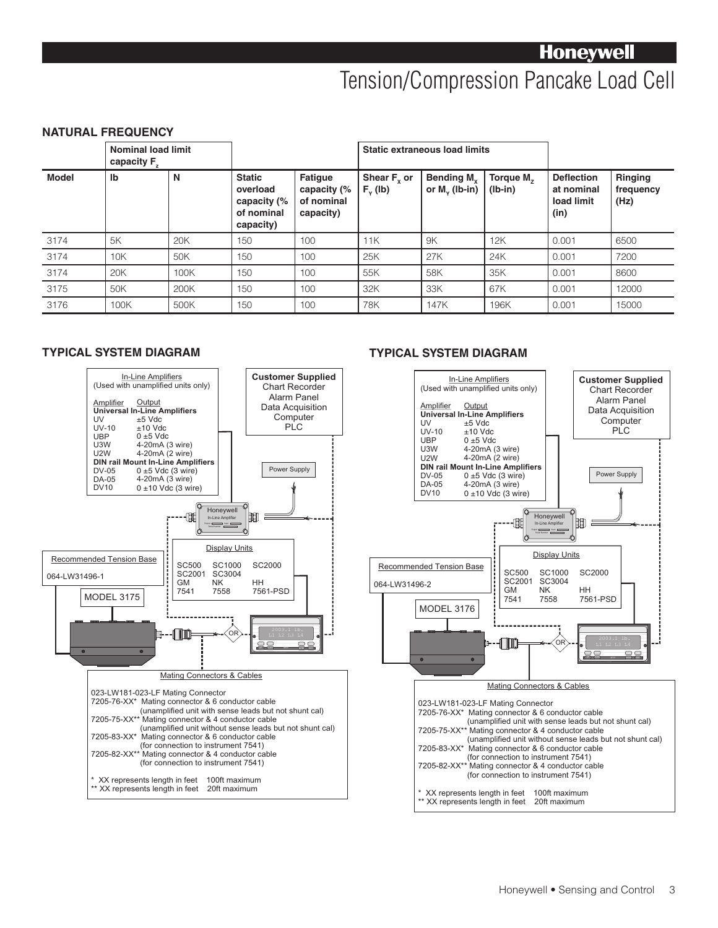## Tension/Compression Pancake Load Cell

#### **NATURAL FREQUENCY**

|              | <b>Nominal load limit</b><br>capacity F |      |                                                                     |                                                          |                                | <b>Static extraneous load limits</b>       |                                    |                                                       |                                     |
|--------------|-----------------------------------------|------|---------------------------------------------------------------------|----------------------------------------------------------|--------------------------------|--------------------------------------------|------------------------------------|-------------------------------------------------------|-------------------------------------|
| <b>Model</b> | Ib                                      | N    | <b>Static</b><br>overload<br>capacity (%<br>of nominal<br>capacity) | <b>Fatigue</b><br>capacity (%<br>of nominal<br>capacity) | Shear $F_{y}$ or<br>$F_v$ (lb) | Bending M <sub>y</sub><br>or $M_v$ (lb-in) | Torque M <sub>7</sub><br>$(Ib-in)$ | <b>Deflection</b><br>at nominal<br>load limit<br>(in) | <b>Ringing</b><br>frequency<br>(Hz) |
| 3174         | 5K                                      | 20K  | 150                                                                 | 100                                                      | 11K                            | 9K                                         | 12K                                | 0.001                                                 | 6500                                |
| 3174         | 10K                                     | 50K  | 150                                                                 | 100                                                      | 25K                            | 27K                                        | 24K                                | 0.001                                                 | 7200                                |
| 3174         | 20K                                     | 100K | 150                                                                 | 100                                                      | 55K                            | 58K                                        | 35K                                | 0.001                                                 | 8600                                |
| 3175         | 50K                                     | 200K | 150                                                                 | 100                                                      | 32K                            | 33K                                        | 67K                                | 0.001                                                 | 12000                               |
| 3176         | 100K                                    | 500K | 150                                                                 | 100                                                      | 78K                            | 147K                                       | 196K                               | 0.001                                                 | 15000                               |



#### **TYPICAL SYSTEM DIAGRAM TYPICAL SYSTEM DIAGRAM**

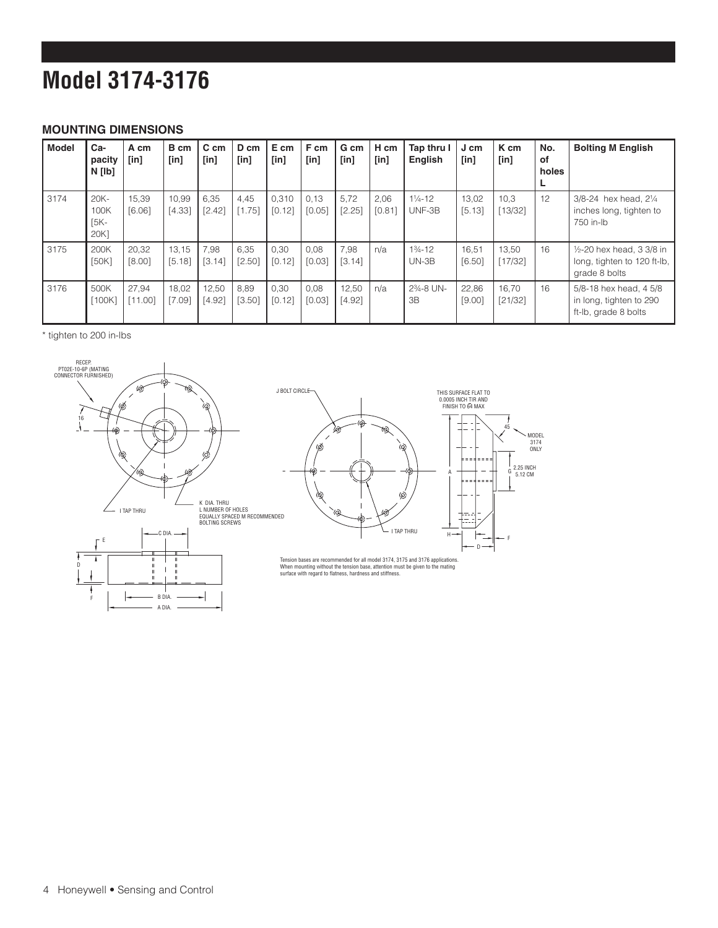# **Model 3174-3176**

#### **MOUNTING DIMENSIONS**

| <b>Model</b> | Ca-<br>pacity<br>N [lb]           | A cm<br>[in]     | B cm<br>$[$ in] | C cm<br>[in]    | D cm<br>[in]   | E cm<br>[in]    | F cm<br>$[$ in] | G cm<br>$[$ in] | H cm<br>$[$ in] | Tap thru I<br>English                      | J cm<br>$[$ in] | K cm<br>[in]     | No.<br>of<br>holes<br>L | <b>Bolting M English</b>                                                      |
|--------------|-----------------------------------|------------------|-----------------|-----------------|----------------|-----------------|-----------------|-----------------|-----------------|--------------------------------------------|-----------------|------------------|-------------------------|-------------------------------------------------------------------------------|
| 3174         | $20K -$<br>100K<br>$[5K-$<br>20K] | 15.39<br>[6.06]  | 10.99<br>[4.33] | 6,35<br>[2.42]  | 4.45<br>[1.75] | 0.310<br>[0.12] | 0.13<br>[0.05]  | 5.72<br>[2.25]  | 2,06<br>[0.81]  | $1\frac{1}{4} - 12$<br>UNF-3B              | 13.02<br>[5.13] | 10.3<br>[13/32]  | 12                      | 3/8-24 hex head, 21/4<br>inches long, tighten to<br>750 in-lb                 |
| 3175         | 200K<br>[50K]                     | 20,32<br>[8.00]  | 13,15<br>[5.18] | 7,98<br>[3.14]  | 6,35<br>[2.50] | 0,30<br>[0.12]  | 0.08<br>[0.03]  | 7,98<br>[3.14]  | n/a             | $1\frac{3}{4} - 12$<br>$UN-3B$             | 16,51<br>[6.50] | 13,50<br>[17/32] | 16                      | $1/2 - 20$ hex head, 3 3/8 in<br>long, tighten to 120 ft-lb,<br>grade 8 bolts |
| 3176         | 500K<br>[100K]                    | 27,94<br>[11.00] | 18,02<br>[7.09] | 12,50<br>[4.92] | 8,89<br>[3.50] | 0,30<br>[0.12]  | 0.08<br>[0.03]  | 12,50<br>[4.92] | n/a             | 2 <sup>3</sup> / <sub>4</sub> -8 UN-<br>3B | 22,86<br>[9.00] | 16,70<br>[21/32] | 16                      | 5/8-18 hex head, 4 5/8<br>in long, tighten to 290<br>ft-lb, grade 8 bolts     |

\* tighten to 200 in-lbs